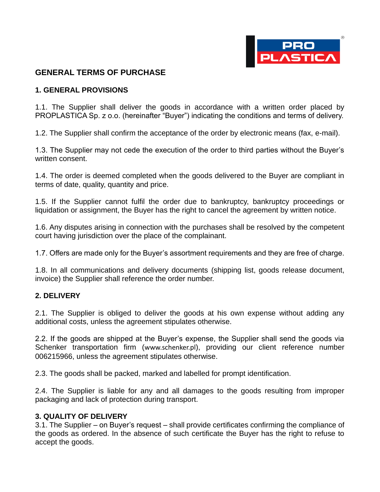

## **GENERAL TERMS OF PURCHASE**

#### **1. GENERAL PROVISIONS**

1.1. The Supplier shall deliver the goods in accordance with a written order placed by PROPLASTICA Sp. z o.o. (hereinafter "Buyer") indicating the conditions and terms of delivery.

1.2. The Supplier shall confirm the acceptance of the order by electronic means (fax, e-mail).

1.3. The Supplier may not cede the execution of the order to third parties without the Buyer's written consent.

1.4. The order is deemed completed when the goods delivered to the Buyer are compliant in terms of date, quality, quantity and price.

1.5. If the Supplier cannot fulfil the order due to bankruptcy, bankruptcy proceedings or liquidation or assignment, the Buyer has the right to cancel the agreement by written notice.

1.6. Any disputes arising in connection with the purchases shall be resolved by the competent court having jurisdiction over the place of the complainant.

1.7. Offers are made only for the Buyer's assortment requirements and they are free of charge.

1.8. In all communications and delivery documents (shipping list, goods release document, invoice) the Supplier shall reference the order number.

#### **2. DELIVERY**

2.1. The Supplier is obliged to deliver the goods at his own expense without adding any additional costs, unless the agreement stipulates otherwise.

2.2. If the goods are shipped at the Buyer's expense, the Supplier shall send the goods via Schenker transportation firm (<www.schenker.pl>), providing our client reference number 006215966, unless the agreement stipulates otherwise.

2.3. The goods shall be packed, marked and labelled for prompt identification.

2.4. The Supplier is liable for any and all damages to the goods resulting from improper packaging and lack of protection during transport.

#### **3. QUALITY OF DELIVERY**

3.1. The Supplier – on Buyer's request – shall provide certificates confirming the compliance of the goods as ordered. In the absence of such certificate the Buyer has the right to refuse to accept the goods.